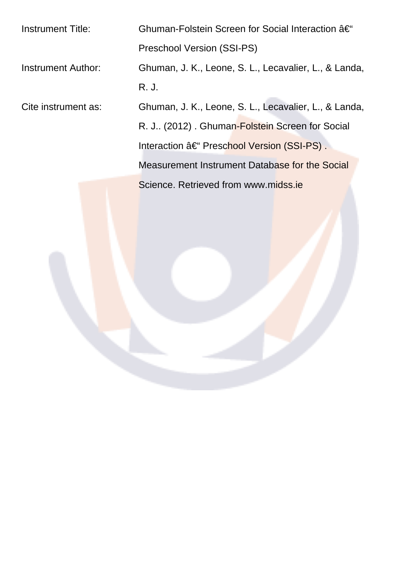Instrument Title: Ghuman-Folstein Screen for Social Interaction – Preschool Version (SSI-PS) Instrument Author: Ghuman, J. K., Leone, S. L., Lecavalier, L., & Landa, R. J. Cite instrument as: Ghuman, J. K., Leone, S. L., Lecavalier, L., & Landa, R. J.. (2012) . Ghuman-Folstein Screen for Social Interaction – Preschool Version (SSI-PS). Measurement Instrument Database for the Social Science. Retrieved from www.midss.ie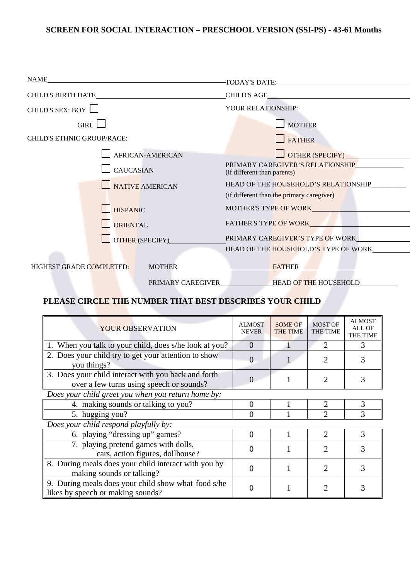## **SCREEN FOR SOCIAL INTERACTION – PRESCHOOL VERSION (SSI-PS) - 43-61 Months**

| NAME                                      |                                                                                                       |
|-------------------------------------------|-------------------------------------------------------------------------------------------------------|
|                                           |                                                                                                       |
| CHILD'S SEX: BOY                          | YOUR RELATIONSHIP:                                                                                    |
| $GIRL$ $\Box$                             | MOTHER                                                                                                |
| CHILD'S ETHNIC GROUP/RACE:                | <b>FATHER</b>                                                                                         |
| <b>AFRICAN-AMERICAN</b>                   | $\Box$ OTHER (SPECIFY)                                                                                |
| <b>CAUCASIAN</b>                          | PRIMARY CAREGIVER'S RELATIONSHIP<br>(if different than parents)                                       |
| NATIVE AMERICAN                           | HEAD OF THE HOUSEHOLD'S RELATIONSHIP_________                                                         |
|                                           | (if different than the primary caregiver)                                                             |
| $\blacksquare$ HISPANIC                   | MOTHER'S TYPE OF WORK MOTHER'S TYPE OF WORK                                                           |
| <b>ORIENTAL</b>                           | FATHER'S TYPE OF WORK <b>FATHER'S</b>                                                                 |
| OTHER (SPECIFY)                           | PRIMARY CAREGIVER'S TYPE OF WORK                                                                      |
|                                           | HEAD OF THE HOUSEHOLD'S TYPE OF WORK                                                                  |
| HIGHEST GRADE COMPLETED:<br><b>MOTHER</b> | <b>FATHER</b><br>the contract of the contract of the                                                  |
|                                           | PRIMARY CAREGIVER<br><b>EXAMPLE HOUSE HOUSE HOUSE HOUSE HOUSE HOUSE HOUSE HOUSE HOUSE HOUSE HOUSE</b> |

## **PLEASE CIRCLE THE NUMBER THAT BEST DESCRIBES YOUR CHILD**

| YOUR OBSERVATION                                                                                | <b>ALMOST</b><br><b>NEVER</b> | <b>SOME OF</b><br><b>THE TIME</b> | <b>MOST OF</b><br><b>THE TIME</b> | <b>ALMOST</b><br>ALL OF<br>THE TIME |  |
|-------------------------------------------------------------------------------------------------|-------------------------------|-----------------------------------|-----------------------------------|-------------------------------------|--|
| When you talk to your child, does s/he look at you?                                             | $\Omega$                      |                                   | $\mathcal{D}_{\cdot}$             | 3                                   |  |
| 2. Does your child try to get your attention to show<br>you things?                             |                               |                                   | 2                                 |                                     |  |
| 3. Does your child interact with you back and forth<br>over a few turns using speech or sounds? | $\mathbf{0}$                  |                                   | 2                                 | 3                                   |  |
| Does your child greet you when you return home by:                                              |                               |                                   |                                   |                                     |  |
| 4. making sounds or talking to you?                                                             | $\Omega$                      |                                   | 2                                 | 3                                   |  |
| 5. hugging you?                                                                                 | $\Omega$                      |                                   | 2                                 | 3                                   |  |
| Does your child respond playfully by:                                                           |                               |                                   |                                   |                                     |  |
| 6. playing "dressing up" games?                                                                 | $\Omega$                      |                                   | $\mathcal{D}_{\mathcal{L}}$       | 3                                   |  |
| 7. playing pretend games with dolls,<br>cars, action figures, dollhouse?                        |                               |                                   | 2                                 | 3                                   |  |
| 8. During meals does your child interact with you by<br>making sounds or talking?               |                               |                                   | 2                                 |                                     |  |
| 9. During meals does your child show what food s/he<br>likes by speech or making sounds?        |                               |                                   | 2                                 |                                     |  |